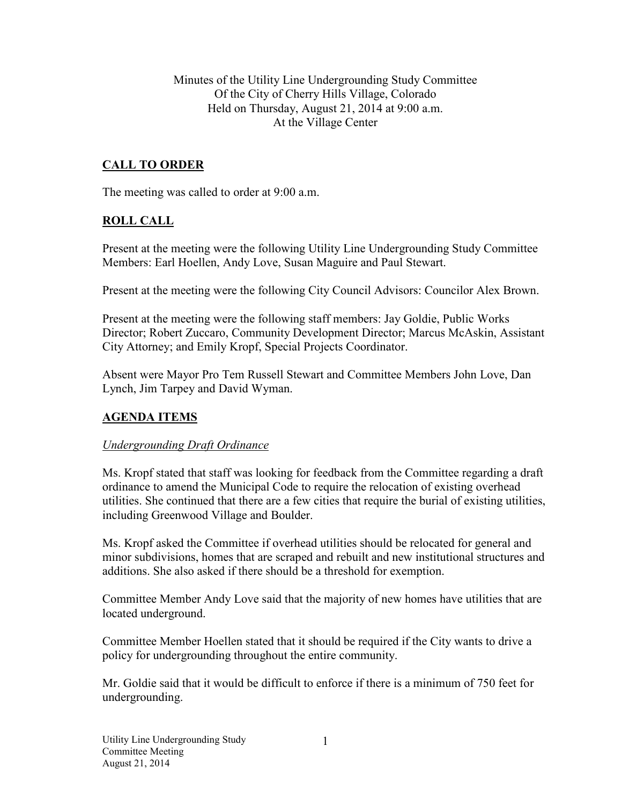Minutes of the Utility Line Undergrounding Study Committee Of the City of Cherry Hills Village, Colorado Held on Thursday, August 21, 2014 at 9:00 a.m. At the Village Center

## **CALL TO ORDER**

The meeting was called to order at 9:00 a.m.

## **ROLL CALL**

Present at the meeting were the following Utility Line Undergrounding Study Committee Members: Earl Hoellen, Andy Love, Susan Maguire and Paul Stewart.

Present at the meeting were the following City Council Advisors: Councilor Alex Brown.

Present at the meeting were the following staff members: Jay Goldie, Public Works Director; Robert Zuccaro, Community Development Director; Marcus McAskin, Assistant City Attorney; and Emily Kropf, Special Projects Coordinator.

Absent were Mayor Pro Tem Russell Stewart and Committee Members John Love, Dan Lynch, Jim Tarpey and David Wyman.

## **AGENDA ITEMS**

#### *Undergrounding Draft Ordinance*

Ms. Kropf stated that staff was looking for feedback from the Committee regarding a draft ordinance to amend the Municipal Code to require the relocation of existing overhead utilities. She continued that there are a few cities that require the burial of existing utilities, including Greenwood Village and Boulder.

Ms. Kropf asked the Committee if overhead utilities should be relocated for general and minor subdivisions, homes that are scraped and rebuilt and new institutional structures and additions. She also asked if there should be a threshold for exemption.

Committee Member Andy Love said that the majority of new homes have utilities that are located underground.

Committee Member Hoellen stated that it should be required if the City wants to drive a policy for undergrounding throughout the entire community.

Mr. Goldie said that it would be difficult to enforce if there is a minimum of 750 feet for undergrounding.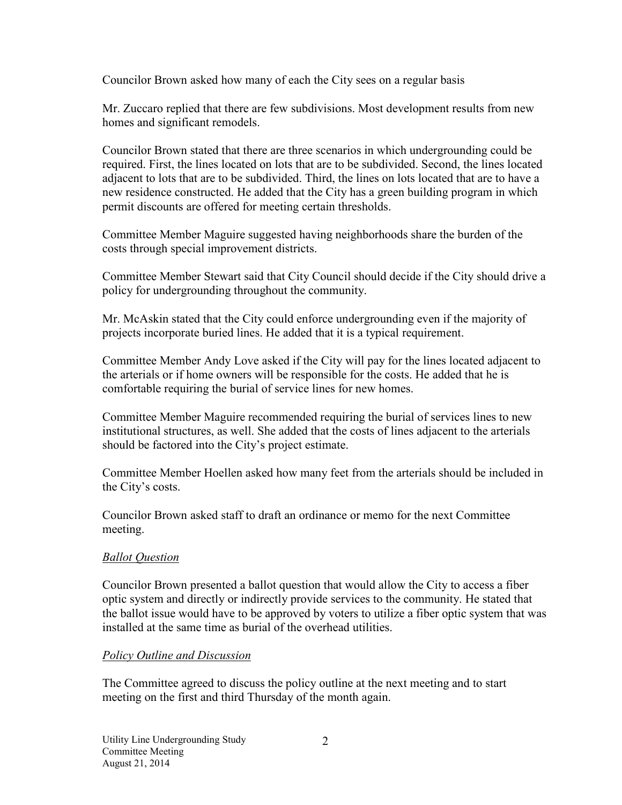Councilor Brown asked how many of each the City sees on a regular basis

Mr. Zuccaro replied that there are few subdivisions. Most development results from new homes and significant remodels.

Councilor Brown stated that there are three scenarios in which undergrounding could be required. First, the lines located on lots that are to be subdivided. Second, the lines located adjacent to lots that are to be subdivided. Third, the lines on lots located that are to have a new residence constructed. He added that the City has a green building program in which permit discounts are offered for meeting certain thresholds.

Committee Member Maguire suggested having neighborhoods share the burden of the costs through special improvement districts.

Committee Member Stewart said that City Council should decide if the City should drive a policy for undergrounding throughout the community.

Mr. McAskin stated that the City could enforce undergrounding even if the majority of projects incorporate buried lines. He added that it is a typical requirement.

Committee Member Andy Love asked if the City will pay for the lines located adjacent to the arterials or if home owners will be responsible for the costs. He added that he is comfortable requiring the burial of service lines for new homes.

Committee Member Maguire recommended requiring the burial of services lines to new institutional structures, as well. She added that the costs of lines adjacent to the arterials should be factored into the City's project estimate.

Committee Member Hoellen asked how many feet from the arterials should be included in the City's costs.

Councilor Brown asked staff to draft an ordinance or memo for the next Committee meeting.

#### *Ballot Question*

Councilor Brown presented a ballot question that would allow the City to access a fiber optic system and directly or indirectly provide services to the community. He stated that the ballot issue would have to be approved by voters to utilize a fiber optic system that was installed at the same time as burial of the overhead utilities.

#### *Policy Outline and Discussion*

The Committee agreed to discuss the policy outline at the next meeting and to start meeting on the first and third Thursday of the month again.